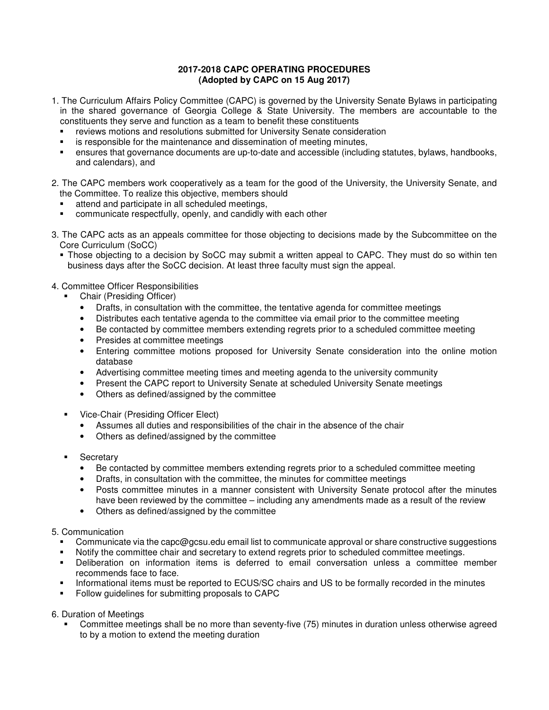# **2017-2018 CAPC OPERATING PROCEDURES (Adopted by CAPC on 15 Aug 2017)**

- 1. The Curriculum Affairs Policy Committee (CAPC) is governed by the University Senate Bylaws in participating in the shared governance of Georgia College & State University. The members are accountable to the constituents they serve and function as a team to benefit these constituents
	- reviews motions and resolutions submitted for University Senate consideration
	- is responsible for the maintenance and dissemination of meeting minutes,
	- ensures that governance documents are up-to-date and accessible (including statutes, bylaws, handbooks, and calendars), and
- 2. The CAPC members work cooperatively as a team for the good of the University, the University Senate, and the Committee. To realize this objective, members should
	- attend and participate in all scheduled meetings,
	- communicate respectfully, openly, and candidly with each other
- 3. The CAPC acts as an appeals committee for those objecting to decisions made by the Subcommittee on the Core Curriculum (SoCC)
	- Those objecting to a decision by SoCC may submit a written appeal to CAPC. They must do so within ten business days after the SoCC decision. At least three faculty must sign the appeal.

# 4. Committee Officer Responsibilities

- Chair (Presiding Officer)
	- Drafts, in consultation with the committee, the tentative agenda for committee meetings
	- Distributes each tentative agenda to the committee via email prior to the committee meeting
	- Be contacted by committee members extending regrets prior to a scheduled committee meeting
	- Presides at committee meetings
	- Entering committee motions proposed for University Senate consideration into the online motion database
	- Advertising committee meeting times and meeting agenda to the university community
	- Present the CAPC report to University Senate at scheduled University Senate meetings
	- Others as defined/assigned by the committee
- Vice-Chair (Presiding Officer Elect)
	- Assumes all duties and responsibilities of the chair in the absence of the chair
	- Others as defined/assigned by the committee
- Secretary
	- Be contacted by committee members extending regrets prior to a scheduled committee meeting
	- Drafts, in consultation with the committee, the minutes for committee meetings
	- Posts committee minutes in a manner consistent with University Senate protocol after the minutes have been reviewed by the committee – including any amendments made as a result of the review
	- Others as defined/assigned by the committee

# 5. Communication

- Communicate via the capc@gcsu.edu email list to communicate approval or share constructive suggestions
- Notify the committee chair and secretary to extend regrets prior to scheduled committee meetings.
- Deliberation on information items is deferred to email conversation unless a committee member recommends face to face.
- Informational items must be reported to ECUS/SC chairs and US to be formally recorded in the minutes
- Follow guidelines for submitting proposals to CAPC

6. Duration of Meetings

 Committee meetings shall be no more than seventy-five (75) minutes in duration unless otherwise agreed to by a motion to extend the meeting duration